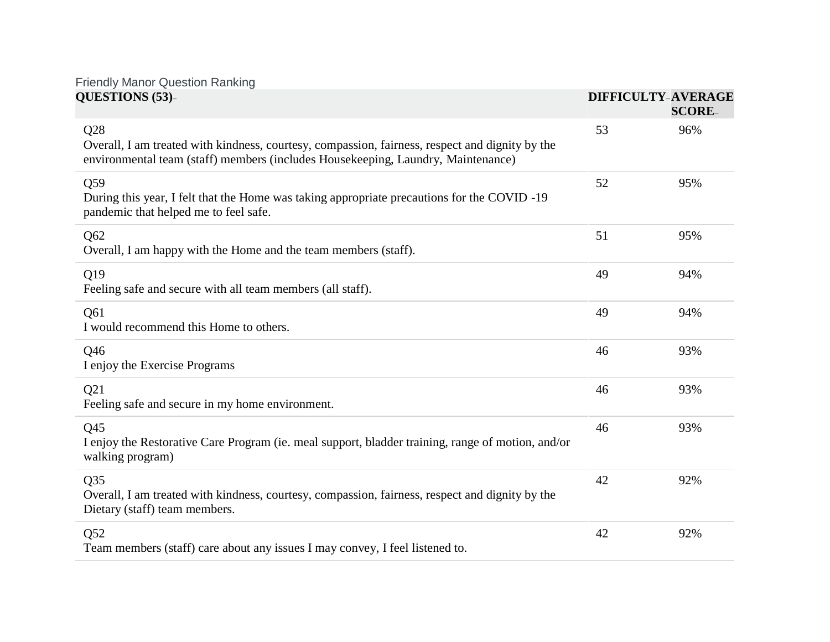## Friendly Manor Question Ranking

| QUESTIONS (53)-                                                                                                                                                                            |    | <b>DIFFICULTY-AVERAGE</b><br><b>SCORE-</b> |
|--------------------------------------------------------------------------------------------------------------------------------------------------------------------------------------------|----|--------------------------------------------|
| Q28<br>Overall, I am treated with kindness, courtesy, compassion, fairness, respect and dignity by the<br>environmental team (staff) members (includes Housekeeping, Laundry, Maintenance) | 53 | 96%                                        |
| Q59<br>During this year, I felt that the Home was taking appropriate precautions for the COVID -19<br>pandemic that helped me to feel safe.                                                | 52 | 95%                                        |
| Q62<br>Overall, I am happy with the Home and the team members (staff).                                                                                                                     | 51 | 95%                                        |
| Q19<br>Feeling safe and secure with all team members (all staff).                                                                                                                          | 49 | 94%                                        |
| Q61<br>I would recommend this Home to others.                                                                                                                                              | 49 | 94%                                        |
| Q46<br>I enjoy the Exercise Programs                                                                                                                                                       | 46 | 93%                                        |
| Q21<br>Feeling safe and secure in my home environment.                                                                                                                                     | 46 | 93%                                        |
| Q45<br>I enjoy the Restorative Care Program (ie. meal support, bladder training, range of motion, and/or<br>walking program)                                                               | 46 | 93%                                        |
| Q35<br>Overall, I am treated with kindness, courtesy, compassion, fairness, respect and dignity by the<br>Dietary (staff) team members.                                                    | 42 | 92%                                        |
| Q52<br>Team members (staff) care about any issues I may convey, I feel listened to.                                                                                                        | 42 | 92%                                        |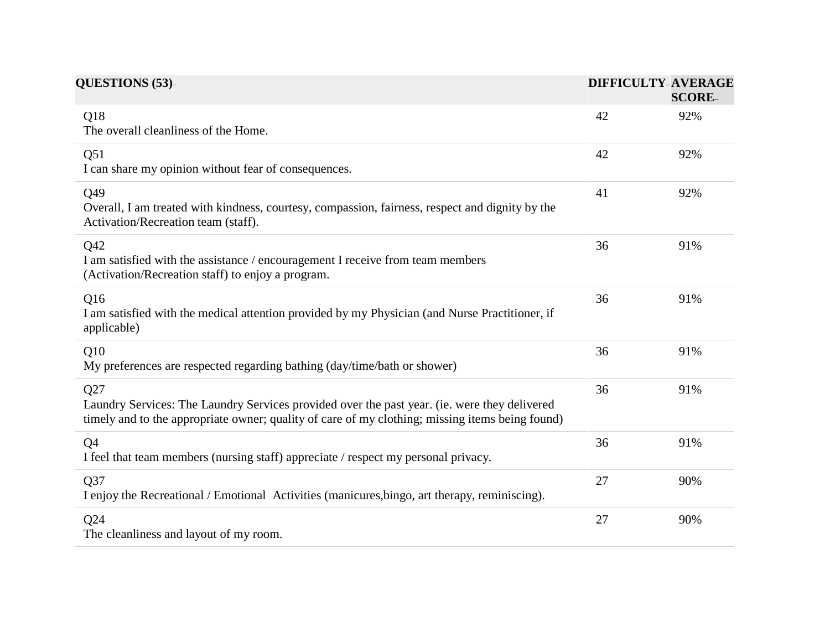| <b>QUESTIONS (53)-</b>                                                                                                                                                                                 |    | <b>DIFFICULTY-AVERAGE</b><br><b>SCORE-</b> |  |
|--------------------------------------------------------------------------------------------------------------------------------------------------------------------------------------------------------|----|--------------------------------------------|--|
| Q18<br>The overall cleanliness of the Home.                                                                                                                                                            | 42 | 92%                                        |  |
| Q51<br>I can share my opinion without fear of consequences.                                                                                                                                            | 42 | 92%                                        |  |
| Q49<br>Overall, I am treated with kindness, courtesy, compassion, fairness, respect and dignity by the<br>Activation/Recreation team (staff).                                                          | 41 | 92%                                        |  |
| Q42<br>I am satisfied with the assistance / encouragement I receive from team members<br>(Activation/Recreation staff) to enjoy a program.                                                             | 36 | 91%                                        |  |
| Q16<br>I am satisfied with the medical attention provided by my Physician (and Nurse Practitioner, if<br>applicable)                                                                                   | 36 | 91%                                        |  |
| Q10<br>My preferences are respected regarding bathing (day/time/bath or shower)                                                                                                                        | 36 | 91%                                        |  |
| Q27<br>Laundry Services: The Laundry Services provided over the past year. (ie. were they delivered<br>timely and to the appropriate owner; quality of care of my clothing; missing items being found) | 36 | 91%                                        |  |
| Q <sub>4</sub><br>I feel that team members (nursing staff) appreciate / respect my personal privacy.                                                                                                   | 36 | 91%                                        |  |
| Q37<br>I enjoy the Recreational / Emotional Activities (manicures, bingo, art therapy, reminiscing).                                                                                                   | 27 | 90%                                        |  |
| Q24<br>The cleanliness and layout of my room.                                                                                                                                                          | 27 | 90%                                        |  |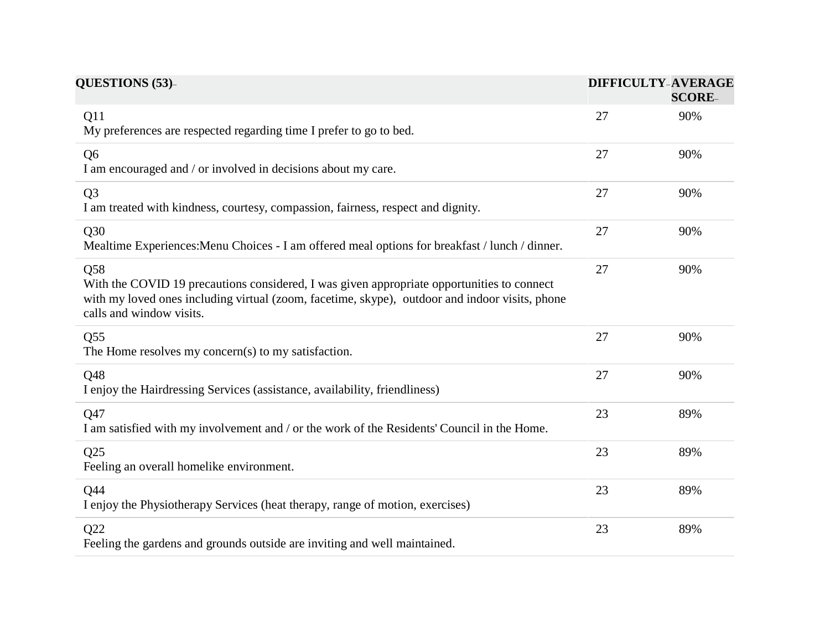| QUESTIONS (53)-                                                                                                                                                                                                                 |    | <b>DIFFICULTY-AVERAGE</b><br><b>SCORE-</b> |  |
|---------------------------------------------------------------------------------------------------------------------------------------------------------------------------------------------------------------------------------|----|--------------------------------------------|--|
| Q11<br>My preferences are respected regarding time I prefer to go to bed.                                                                                                                                                       | 27 | 90%                                        |  |
| Q <sub>6</sub><br>I am encouraged and / or involved in decisions about my care.                                                                                                                                                 | 27 | 90%                                        |  |
| Q <sub>3</sub><br>I am treated with kindness, courtesy, compassion, fairness, respect and dignity.                                                                                                                              | 27 | 90%                                        |  |
| Q30<br>Mealtime Experiences: Menu Choices - I am offered meal options for breakfast / lunch / dinner.                                                                                                                           | 27 | 90%                                        |  |
| Q58<br>With the COVID 19 precautions considered, I was given appropriate opportunities to connect<br>with my loved ones including virtual (zoom, facetime, skype), outdoor and indoor visits, phone<br>calls and window visits. | 27 | 90%                                        |  |
| Q <sub>55</sub><br>The Home resolves my concern(s) to my satisfaction.                                                                                                                                                          | 27 | 90%                                        |  |
| Q48<br>I enjoy the Hairdressing Services (assistance, availability, friendliness)                                                                                                                                               | 27 | 90%                                        |  |
| Q47<br>I am satisfied with my involvement and / or the work of the Residents' Council in the Home.                                                                                                                              | 23 | 89%                                        |  |
| Q25<br>Feeling an overall homelike environment.                                                                                                                                                                                 | 23 | 89%                                        |  |
| Q44<br>I enjoy the Physiotherapy Services (heat therapy, range of motion, exercises)                                                                                                                                            | 23 | 89%                                        |  |
| Q22<br>Feeling the gardens and grounds outside are inviting and well maintained.                                                                                                                                                | 23 | 89%                                        |  |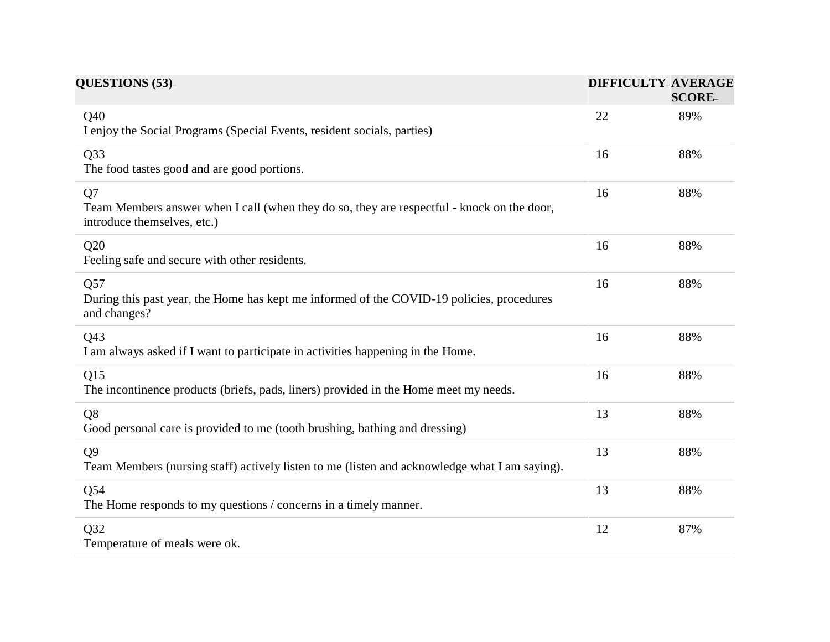| <b>QUESTIONS (53)-</b>                                                                                                          |    | <b>DIFFICULTY-AVERAGE</b><br><b>SCORE-</b> |  |
|---------------------------------------------------------------------------------------------------------------------------------|----|--------------------------------------------|--|
| Q40<br>I enjoy the Social Programs (Special Events, resident socials, parties)                                                  | 22 | 89%                                        |  |
| Q33<br>The food tastes good and are good portions.                                                                              | 16 | 88%                                        |  |
| Q7<br>Team Members answer when I call (when they do so, they are respectful - knock on the door,<br>introduce themselves, etc.) | 16 | 88%                                        |  |
| Q20<br>Feeling safe and secure with other residents.                                                                            | 16 | 88%                                        |  |
| Q57<br>During this past year, the Home has kept me informed of the COVID-19 policies, procedures<br>and changes?                | 16 | 88%                                        |  |
| Q43<br>I am always asked if I want to participate in activities happening in the Home.                                          | 16 | 88%                                        |  |
| Q15<br>The incontinence products (briefs, pads, liners) provided in the Home meet my needs.                                     | 16 | 88%                                        |  |
| Q <sub>8</sub><br>Good personal care is provided to me (tooth brushing, bathing and dressing)                                   | 13 | 88%                                        |  |
| <b>Q9</b><br>Team Members (nursing staff) actively listen to me (listen and acknowledge what I am saying).                      | 13 | 88%                                        |  |
| Q54<br>The Home responds to my questions / concerns in a timely manner.                                                         | 13 | 88%                                        |  |
| Q32<br>Temperature of meals were ok.                                                                                            | 12 | 87%                                        |  |